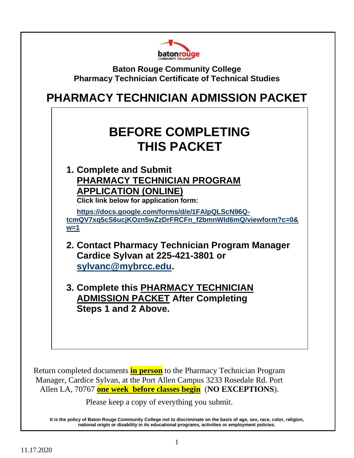

**Baton Rouge Community College Pharmacy Technician Certificate of Technical Studies**

## **PHARMACY TECHNICIAN ADMISSION PACKET**

# **BEFORE COMPLETING THIS PACKET**

**1. Complete and Submit PHARMACY TECHNICIAN PROGRAM APPLICATION (ONLINE) Click link below for application form:**

**[https://docs.google.com/forms/d/e/1FAIpQLScN96Q](https://docs.google.com/forms/d/e/1FAIpQLScN96Q-tcmQV7xq5cS6ucjKOzn5wZzDrFRCFn_f2bmnWId6mQ/viewform?c=0&w=1)[tcmQV7xq5cS6ucjKOzn5wZzDrFRCFn\\_f2bmnWId6mQ/viewform?c=0&](https://docs.google.com/forms/d/e/1FAIpQLScN96Q-tcmQV7xq5cS6ucjKOzn5wZzDrFRCFn_f2bmnWId6mQ/viewform?c=0&w=1) [w=1](https://docs.google.com/forms/d/e/1FAIpQLScN96Q-tcmQV7xq5cS6ucjKOzn5wZzDrFRCFn_f2bmnWId6mQ/viewform?c=0&w=1)**

- **2. Contact Pharmacy Technician Program Manager Cardice Sylvan at 225-421-3801 or [sylvanc@mybrcc.edu.](mailto:sylvanc@mybrcc.edu)**
- **3. Complete this PHARMACY TECHNICIAN ADMISSION PACKET After Completing Steps 1 and 2 Above.**

Return completed documents **in person** to the Pharmacy Technician Program Manager, Cardice Sylvan, at the Port Allen Campus 3233 Rosedale Rd. Port Allen LA, 70767 **one week before classes begin** (**NO EXCEPTIONS**).

Please keep a copy of everything you submit.

**It is the policy of Baton Rouge Community College not to discriminate on the basis of age, sex, race, color, religion, national origin or disability in its educational programs, activities or employment policies.**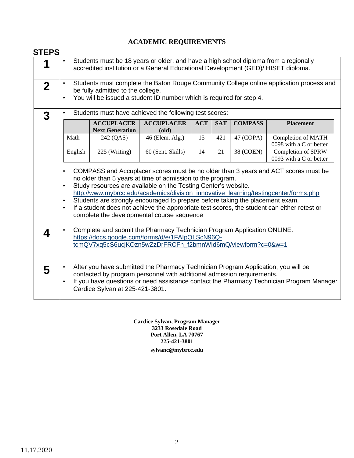### **ACADEMIC REQUIREMENTS**

| 1                |                                                                                                                                                                                                                                                                                                                                                                                                                                                                                           |                                                  | Students must be 18 years or older, and have a high school diploma from a regionally<br>accredited institution or a General Educational Development (GED)/ HISET diploma. |            |            |                |                                                                                         |  |
|------------------|-------------------------------------------------------------------------------------------------------------------------------------------------------------------------------------------------------------------------------------------------------------------------------------------------------------------------------------------------------------------------------------------------------------------------------------------------------------------------------------------|--------------------------------------------------|---------------------------------------------------------------------------------------------------------------------------------------------------------------------------|------------|------------|----------------|-----------------------------------------------------------------------------------------|--|
| $\mathbf 2$      |                                                                                                                                                                                                                                                                                                                                                                                                                                                                                           | be fully admitted to the college.                | You will be issued a student ID number which is required for step 4.                                                                                                      |            |            |                | Students must complete the Baton Rouge Community College online application process and |  |
| $\boldsymbol{3}$ |                                                                                                                                                                                                                                                                                                                                                                                                                                                                                           |                                                  | Students must have achieved the following test scores:                                                                                                                    |            |            |                |                                                                                         |  |
|                  |                                                                                                                                                                                                                                                                                                                                                                                                                                                                                           | <b>ACCUPLACER</b><br><b>Next Generation</b>      | <b>ACCUPLACER</b><br>$\textbf{(old)}$                                                                                                                                     | <b>ACT</b> | <b>SAT</b> | <b>COMPASS</b> | <b>Placement</b>                                                                        |  |
|                  | Math                                                                                                                                                                                                                                                                                                                                                                                                                                                                                      | 242 (QAS)                                        | 46 (Elem. Alg.)                                                                                                                                                           | 15         | 421        | 47 (COPA)      | Completion of MATH<br>0098 with a C or better                                           |  |
|                  | English                                                                                                                                                                                                                                                                                                                                                                                                                                                                                   | 225 (Writing)                                    | 60 (Sent. Skills)                                                                                                                                                         | 14         | 21         | 38 (COEN)      | Completion of SPRW<br>0093 with a C or better                                           |  |
|                  | no older than 5 years at time of admission to the program.<br>Study resources are available on the Testing Center's website.<br>$\bullet$<br>http://www.mybrcc.edu/academics/division_innovative_learning/testingcenter/forms.php<br>Students are strongly encouraged to prepare before taking the placement exam.<br>$\bullet$<br>If a student does not achieve the appropriate test scores, the student can either retest or<br>$\bullet$<br>complete the developmental course sequence |                                                  |                                                                                                                                                                           |            |            |                |                                                                                         |  |
| 4                |                                                                                                                                                                                                                                                                                                                                                                                                                                                                                           | https://docs.google.com/forms/d/e/1FAIpQLScN96Q- | Complete and submit the Pharmacy Technician Program Application ONLINE.                                                                                                   |            |            |                |                                                                                         |  |
|                  |                                                                                                                                                                                                                                                                                                                                                                                                                                                                                           |                                                  | tcmQV7xq5cS6ucjKOzn5wZzDrFRCFn_f2bmnWld6mQ/viewform?c=0&w=1                                                                                                               |            |            |                |                                                                                         |  |

**sylvanc@mybrcc.edu Cardice Sylvan, Program Manager 3233 Rosedale Road Port Allen, LA 70767 225-421-3801**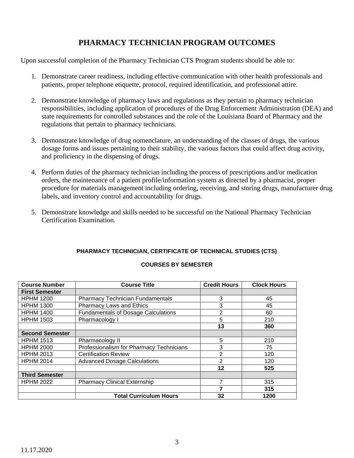### **PHARMACY TECHNICIAN PROGRAM OUTCOMES**

Upon successful completion of the Pharmacy Technician CTS Program students should be able to:

- 1. Demonstrate career readiness, including effective communication with other health professionals and patients, proper telephone etiquette, protocol, required identification, and professional attire.
- 2. Demonstrate knowledge of pharmacy laws and regulations as they pertain to pharmacy technician responsibilities, including application of procedures of the Drug Enforcement Administration (DEA) and state requirements for controlled substances and the role of the Louisiana Board of Pharmacy and the regulations that pertain to pharmacy technicians.
- 3. Demonstrate knowledge of drug nomenclature, an understanding of the classes of drugs, the various dosage forms and issues pertaining to their stability, the various factors that could affect drug activity, and proficiency in the dispensing of drugs.
- 4. Perform duties of the pharmacy technician including the process of prescriptions and/or medication orders, the maintenance of a patient profile/information system as directed by a pharmacist, proper procedure for materials management including ordering, receiving, and storing drugs, manufacturer drug labels, and inventory control and accountability for drugs.
- 5. Demonstrate knowledge and skills needed to be successful on the National Pharmacy Technician Certification Examination.

### **PHARMACY TECHNICIAN, CERTIFICATE OF TECHNICAL STUDIES (CTS) COURSES BY SEMESTER**

| <b>Course Number</b>   | <b>Course Title</b>                        | <b>Credit Hours</b> | <b>Clock Hours</b> |
|------------------------|--------------------------------------------|---------------------|--------------------|
| <b>First Semester</b>  |                                            |                     |                    |
| <b>HPHM 1200</b>       | <b>Pharmacy Technician Fundamentals</b>    | 3                   | 45                 |
| <b>HPHM 1300</b>       | <b>Pharmacy Laws and Ethics</b>            | 3                   | 45                 |
| <b>HPHM 1400</b>       | <b>Fundamentals of Dosage Calculations</b> | 2                   | 60                 |
| <b>HPHM 1503</b>       | Pharmacology I                             | 5                   | 210                |
|                        |                                            | 13                  | 360                |
| <b>Second Semester</b> |                                            |                     |                    |
| <b>HPHM 1513</b>       | Pharmacology II                            | 5                   | 210                |
| <b>HPHM 2000</b>       | Professionalism for Pharmacy Technicians   | 3                   | 75                 |
| <b>HPHM 2013</b>       | <b>Certification Review</b>                | $\overline{2}$      | 120                |
| <b>HPHM 2014</b>       | <b>Advanced Dosage Calculations</b>        | 2                   | 120                |
|                        |                                            | 12                  | 525                |
| <b>Third Semester</b>  |                                            |                     |                    |
| <b>HPHM 2022</b>       | <b>Pharmacy Clinical Externship</b>        |                     | 315                |
|                        |                                            |                     | 315                |
|                        | <b>Total Curriculum Hours</b>              | 32                  | 1200               |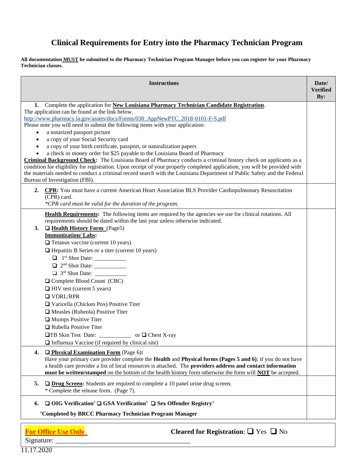### **Clinical Requirements for Entry into the Pharmacy Technician Program**

**All documentation MUST be submitted to the Pharmacy Technician Program Manager before you can register for your Pharmacy Technician classes.**

| <b>Instructions</b>                                                                                                                                                                                                                                                                                                                                                                                                                                                                                                                                                                                                                                                                                                                                                                                                                                                                                                                                                                    | Date/<br><b>Verified</b><br>By: |
|----------------------------------------------------------------------------------------------------------------------------------------------------------------------------------------------------------------------------------------------------------------------------------------------------------------------------------------------------------------------------------------------------------------------------------------------------------------------------------------------------------------------------------------------------------------------------------------------------------------------------------------------------------------------------------------------------------------------------------------------------------------------------------------------------------------------------------------------------------------------------------------------------------------------------------------------------------------------------------------|---------------------------------|
| Complete the application for New Louisiana Pharmacy Technician Candidate Registration.<br>1.<br>The application can be found at the link below.<br>http://www.pharmacy.la.gov/assets/docs/Forms/030_AppNewPTC_2018-0101-F-S.pdf<br>Please note you will need to submit the following items with your application:<br>a notarized passport picture<br>$\bullet$<br>a copy of your Social Security card<br>$\bullet$<br>a copy of your birth certificate, passport, or naturalization papers<br>a check or money order for \$25 payable to the Louisiana Board of Pharmacy<br>Criminal Background Check: The Louisiana Board of Pharmacy conducts a criminal history check on applicants as a<br>condition for eligibility for registration. Upon receipt of your properly completed application, you will be provided with<br>the materials needed to conduct a criminal record search with the Louisiana Department of Public Safety and the Federal<br>Bureau of Investigation (FBI). |                                 |
| CPR: You must have a current American Heart Association BLS Provider Cardiopulmonary Resuscitation<br>2.<br>(CPR) card.<br>*CPR card must be valid for the duration of the program.                                                                                                                                                                                                                                                                                                                                                                                                                                                                                                                                                                                                                                                                                                                                                                                                    |                                 |
| Health Requirements: The following items are required by the agencies we use for clinical rotations. All<br>requirements should be dated within the last year unless otherwise indicated.<br><b>Q</b> Health History Form (Page5)<br>3.<br>Immunization/Labs:<br>$\Box$ Tetanus vaccine (current 10 years)<br>$\Box$ Hepatitis B Series or a titer (current 10 years)<br>Complete Blood Count (CBC)<br>$\Box$ HIV test (current 5 years)<br>$\Box$ VDRL/RPR<br>Varicella (Chicken Pox) Positive Titer<br>$\Box$ Measles (Rubeola) Positive Titer<br>Mumps Positive Titer<br>Rubella Positive Titer<br>TB Skin Test Date: ___________<br>or $\Box$ Chest X-ray<br>$\Box$ Influenza Vaccine (if required by clinical site)                                                                                                                                                                                                                                                               |                                 |
| $\Box$ Physical Examination Form (Page 6):<br>4.<br>Have your primary care provider complete the Health and Physical forms (Pages 5 and 6); if you do not have<br>a health care provider a list of local resources is attached. The providers address and contact information<br>must be written/stamped on the bottom of the health history form otherwise the form will <b>NOT</b> be accepted.                                                                                                                                                                                                                                                                                                                                                                                                                                                                                                                                                                                      |                                 |
| $\Box$ Drug Screen: Students are required to complete a 10 panel urine drug screen.<br>5.<br>* Complete the release form. (Page 7).                                                                                                                                                                                                                                                                                                                                                                                                                                                                                                                                                                                                                                                                                                                                                                                                                                                    |                                 |
| $\Box$ OIG Verification <sup>†</sup> $\Box$ GSA Verification <sup>†</sup> $\Box$ Sex Offender Registry <sup>†</sup><br>6.<br><sup>†</sup> Completed by BRCC Pharmacy Technician Program Manager                                                                                                                                                                                                                                                                                                                                                                                                                                                                                                                                                                                                                                                                                                                                                                                        |                                 |

4

**For Office Use Only Cleared for Registration**: ❏ Yes ❏ No

11.17.2020

Signature: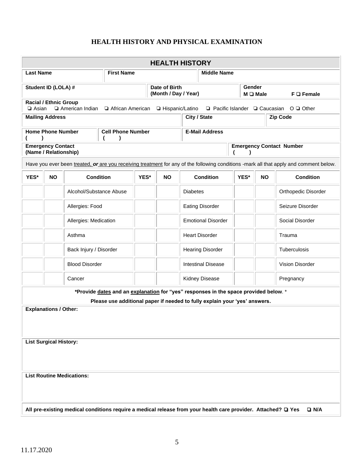### **HEALTH HISTORY AND PHYSICAL EXAMINATION**

|                  |                                                                                                      |                                  |                   |      |                                       | <b>HEALTH HISTORY</b>                                                                                                                                              |  |                    |           |                                                                                                                                        |
|------------------|------------------------------------------------------------------------------------------------------|----------------------------------|-------------------|------|---------------------------------------|--------------------------------------------------------------------------------------------------------------------------------------------------------------------|--|--------------------|-----------|----------------------------------------------------------------------------------------------------------------------------------------|
| <b>Last Name</b> |                                                                                                      |                                  | <b>First Name</b> |      |                                       | <b>Middle Name</b>                                                                                                                                                 |  |                    |           |                                                                                                                                        |
|                  | Student ID (LOLA) #                                                                                  |                                  |                   |      | Date of Birth<br>(Month / Day / Year) |                                                                                                                                                                    |  | Gender<br>M Q Male |           | $F \square$ Female                                                                                                                     |
| $\Box$ Asian     | <b>Racial / Ethnic Group</b>                                                                         | American Indian                  | African American  |      | □ Hispanic/Latino                     |                                                                                                                                                                    |  |                    |           | $\Box$ Pacific Islander $\Box$ Caucasian $\Box$ Other                                                                                  |
|                  | City / State<br><b>Mailing Address</b><br><b>Zip Code</b>                                            |                                  |                   |      |                                       |                                                                                                                                                                    |  |                    |           |                                                                                                                                        |
|                  | <b>Home Phone Number</b><br><b>Cell Phone Number</b><br><b>E-Mail Address</b>                        |                                  |                   |      |                                       |                                                                                                                                                                    |  |                    |           |                                                                                                                                        |
|                  | <b>Emergency Contact</b><br><b>Emergency Contact Number</b><br>(Name / Relationship)<br><sup>1</sup> |                                  |                   |      |                                       |                                                                                                                                                                    |  |                    |           |                                                                                                                                        |
|                  |                                                                                                      |                                  |                   |      |                                       |                                                                                                                                                                    |  |                    |           | Have you ever been treated, or are you receiving treatment for any of the following conditions -mark all that apply and comment below. |
| YES*             | <b>NO</b>                                                                                            | <b>Condition</b>                 |                   | YES* | <b>NO</b>                             | <b>Condition</b>                                                                                                                                                   |  | YES*               | <b>NO</b> | <b>Condition</b>                                                                                                                       |
|                  |                                                                                                      | Alcohol/Substance Abuse          |                   |      |                                       | <b>Diabetes</b>                                                                                                                                                    |  |                    |           | Orthopedic Disorder                                                                                                                    |
|                  |                                                                                                      | Allergies: Food                  |                   |      |                                       | <b>Eating Disorder</b>                                                                                                                                             |  |                    |           | Seizure Disorder                                                                                                                       |
|                  |                                                                                                      | Allergies: Medication            |                   |      |                                       | <b>Emotional Disorder</b>                                                                                                                                          |  |                    |           | Social Disorder                                                                                                                        |
|                  |                                                                                                      | Asthma                           |                   |      |                                       | <b>Heart Disorder</b>                                                                                                                                              |  |                    |           | Trauma                                                                                                                                 |
|                  |                                                                                                      | Back Injury / Disorder           |                   |      |                                       | <b>Hearing Disorder</b>                                                                                                                                            |  |                    |           | <b>Tuberculosis</b>                                                                                                                    |
|                  |                                                                                                      | <b>Blood Disorder</b>            |                   |      |                                       | <b>Intestinal Disease</b>                                                                                                                                          |  |                    |           | Vision Disorder                                                                                                                        |
|                  |                                                                                                      | Cancer                           |                   |      |                                       | Kidney Disease                                                                                                                                                     |  |                    |           | Pregnancy                                                                                                                              |
|                  |                                                                                                      |                                  |                   |      |                                       | *Provide dates and an explanation for "yes" responses in the space provided below. *<br>Please use additional paper if needed to fully explain your 'yes' answers. |  |                    |           |                                                                                                                                        |
|                  | <b>Explanations / Other:</b>                                                                         |                                  |                   |      |                                       |                                                                                                                                                                    |  |                    |           |                                                                                                                                        |
|                  |                                                                                                      |                                  |                   |      |                                       |                                                                                                                                                                    |  |                    |           |                                                                                                                                        |
|                  | <b>List Surgical History:</b>                                                                        |                                  |                   |      |                                       |                                                                                                                                                                    |  |                    |           |                                                                                                                                        |
|                  |                                                                                                      |                                  |                   |      |                                       |                                                                                                                                                                    |  |                    |           |                                                                                                                                        |
|                  |                                                                                                      | <b>List Routine Medications:</b> |                   |      |                                       |                                                                                                                                                                    |  |                    |           |                                                                                                                                        |
|                  |                                                                                                      |                                  |                   |      |                                       |                                                                                                                                                                    |  |                    |           |                                                                                                                                        |
|                  |                                                                                                      |                                  |                   |      |                                       |                                                                                                                                                                    |  |                    |           |                                                                                                                                        |
|                  |                                                                                                      |                                  |                   |      |                                       | All pre-existing medical conditions require a medical release from your health care provider. Attached? □ Yes                                                      |  |                    |           | $\Box$ N/A                                                                                                                             |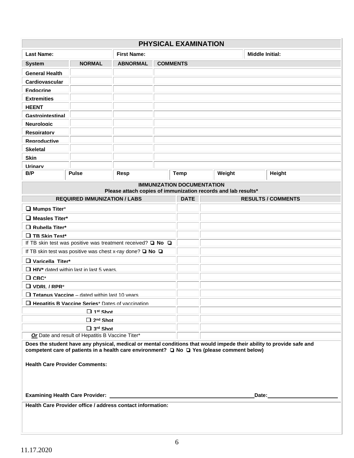|                                                                       |                                                                       |                    |                 | PHYSICAL EXAMINATION              |                                                                                            |                                                                                                                      |  |  |  |
|-----------------------------------------------------------------------|-----------------------------------------------------------------------|--------------------|-----------------|-----------------------------------|--------------------------------------------------------------------------------------------|----------------------------------------------------------------------------------------------------------------------|--|--|--|
| <b>Last Name:</b>                                                     |                                                                       | <b>First Name:</b> |                 |                                   |                                                                                            | <b>Middle Initial:</b>                                                                                               |  |  |  |
| <b>System</b>                                                         | <b>NORMAL</b>                                                         | <b>ABNORMAL</b>    | <b>COMMENTS</b> |                                   |                                                                                            |                                                                                                                      |  |  |  |
| <b>General Health</b>                                                 |                                                                       |                    |                 |                                   |                                                                                            |                                                                                                                      |  |  |  |
| Cardiovascular                                                        |                                                                       |                    |                 |                                   |                                                                                            |                                                                                                                      |  |  |  |
| <b>Endocrine</b>                                                      |                                                                       |                    |                 |                                   |                                                                                            |                                                                                                                      |  |  |  |
| <b>Extremities</b>                                                    |                                                                       |                    |                 |                                   |                                                                                            |                                                                                                                      |  |  |  |
| <b>HEENT</b>                                                          |                                                                       |                    |                 |                                   |                                                                                            |                                                                                                                      |  |  |  |
| Gastrointestinal                                                      |                                                                       |                    |                 |                                   |                                                                                            |                                                                                                                      |  |  |  |
| <b>Neurologic</b>                                                     |                                                                       |                    |                 |                                   |                                                                                            |                                                                                                                      |  |  |  |
| <b>Respiratory</b>                                                    |                                                                       |                    |                 |                                   |                                                                                            |                                                                                                                      |  |  |  |
| <b>Reproductive</b>                                                   |                                                                       |                    |                 |                                   |                                                                                            |                                                                                                                      |  |  |  |
| <b>Skeletal</b>                                                       |                                                                       |                    |                 |                                   |                                                                                            |                                                                                                                      |  |  |  |
| <b>Skin</b>                                                           |                                                                       |                    |                 |                                   |                                                                                            |                                                                                                                      |  |  |  |
| Urinary                                                               |                                                                       |                    |                 |                                   |                                                                                            |                                                                                                                      |  |  |  |
| B/P                                                                   | <b>Pulse</b>                                                          | Resp               |                 | <b>Temp</b>                       | Weight                                                                                     | Height                                                                                                               |  |  |  |
|                                                                       |                                                                       |                    |                 | <b>IMMUNIZATION DOCUMENTATION</b> |                                                                                            |                                                                                                                      |  |  |  |
|                                                                       |                                                                       |                    |                 |                                   | Please attach copies of immunization records and lab results*                              |                                                                                                                      |  |  |  |
|                                                                       | <b>REQUIRED IMMUNIZATION / LABS</b>                                   |                    |                 | <b>DATE</b>                       |                                                                                            | <b>RESULTS / COMMENTS</b>                                                                                            |  |  |  |
| $\Box$ Mumps Titer*                                                   |                                                                       |                    |                 |                                   |                                                                                            |                                                                                                                      |  |  |  |
| $\Box$ Measles Titer*                                                 |                                                                       |                    |                 |                                   |                                                                                            |                                                                                                                      |  |  |  |
| Rubella Titer*                                                        |                                                                       |                    |                 |                                   |                                                                                            |                                                                                                                      |  |  |  |
| $\Box$ TB Skin Test*                                                  |                                                                       |                    |                 |                                   |                                                                                            |                                                                                                                      |  |  |  |
|                                                                       | If TB skin test was positive was treatment received? $\Box$ No $\Box$ |                    |                 |                                   |                                                                                            |                                                                                                                      |  |  |  |
|                                                                       | If TB skin test was positive was chest x-ray done? $\Box$ No $\Box$   |                    |                 |                                   |                                                                                            |                                                                                                                      |  |  |  |
| $\Box$ Varicella Titer*                                               |                                                                       |                    |                 |                                   |                                                                                            |                                                                                                                      |  |  |  |
|                                                                       | $\Box$ HIV* dated within last in last 5 years.                        |                    |                 |                                   |                                                                                            |                                                                                                                      |  |  |  |
| $\Box$ CBC*                                                           |                                                                       |                    |                 |                                   |                                                                                            |                                                                                                                      |  |  |  |
| $\Box$ VDRI / RPR*                                                    |                                                                       |                    |                 |                                   |                                                                                            |                                                                                                                      |  |  |  |
|                                                                       | $\Box$ Tetanus Vaccine – dated within last 10 years                   |                    |                 |                                   |                                                                                            |                                                                                                                      |  |  |  |
|                                                                       | $\square$ Hepatitis B Vaccine Series* Dates of vaccination            |                    |                 |                                   |                                                                                            |                                                                                                                      |  |  |  |
|                                                                       | $\Box$ 1 <sup>st</sup> Shot                                           |                    |                 |                                   |                                                                                            |                                                                                                                      |  |  |  |
|                                                                       | $\Box$ 2 <sup>nd</sup> Shot                                           |                    |                 |                                   |                                                                                            |                                                                                                                      |  |  |  |
|                                                                       | $\Box$ 3 <sup>rd</sup> Shot                                           |                    |                 |                                   |                                                                                            |                                                                                                                      |  |  |  |
|                                                                       | Or Date and result of Hepatitis B Vaccine Titer*                      |                    |                 |                                   |                                                                                            |                                                                                                                      |  |  |  |
|                                                                       | <b>Health Care Provider Comments:</b>                                 |                    |                 |                                   | competent care of patients in a health care environment? □ No □ Yes (please comment below) | Does the student have any physical, medical or mental conditions that would impede their ability to provide safe and |  |  |  |
| <b>Examining Health Care Provider:</b><br>Date: _____________________ |                                                                       |                    |                 |                                   |                                                                                            |                                                                                                                      |  |  |  |
|                                                                       | Health Care Provider office / address contact information:            |                    |                 |                                   |                                                                                            |                                                                                                                      |  |  |  |
|                                                                       |                                                                       |                    |                 |                                   |                                                                                            |                                                                                                                      |  |  |  |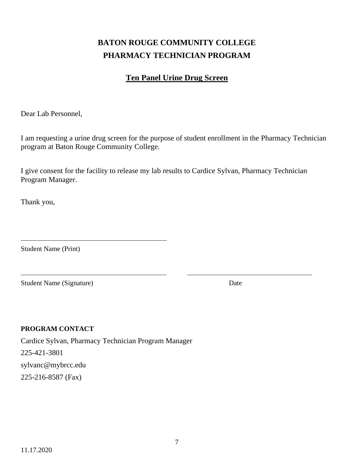## **BATON ROUGE COMMUNITY COLLEGE PHARMACY TECHNICIAN PROGRAM**

### **Ten Panel Urine Drug Screen**

Dear Lab Personnel,

I am requesting a urine drug screen for the purpose of student enrollment in the Pharmacy Technician program at Baton Rouge Community College.

I give consent for the facility to release my lab results to Cardice Sylvan, Pharmacy Technician Program Manager.

Thank you,

Student Name (Print)

Student Name (Signature) Date

### **PROGRAM CONTACT**

Cardice Sylvan, Pharmacy Technician Program Manager 225-421-3801 sylvanc@mybrcc.edu 225-216-8587 (Fax)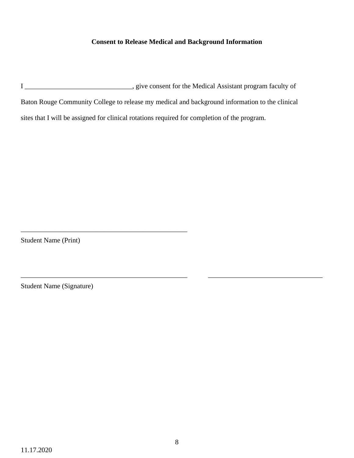### **Consent to Release Medical and Background Information**

I \_\_\_\_\_\_\_\_\_\_\_\_\_\_\_\_\_\_\_\_\_\_\_\_\_\_\_\_\_\_\_, give consent for the Medical Assistant program faculty of Baton Rouge Community College to release my medical and background information to the clinical sites that I will be assigned for clinical rotations required for completion of the program.

Student Name (Print)

\_\_\_\_\_\_\_\_\_\_\_\_\_\_\_\_\_\_\_\_\_\_\_\_\_\_\_\_\_\_\_\_\_\_\_\_\_\_\_\_\_\_\_\_\_\_\_\_

Student Name (Signature)

\_\_\_\_\_\_\_\_\_\_\_\_\_\_\_\_\_\_\_\_\_\_\_\_\_\_\_\_\_\_\_\_\_\_\_\_\_\_\_\_\_\_\_\_\_\_\_\_ \_\_\_\_\_\_\_\_\_\_\_\_\_\_\_\_\_\_\_\_\_\_\_\_\_\_\_\_\_\_\_\_\_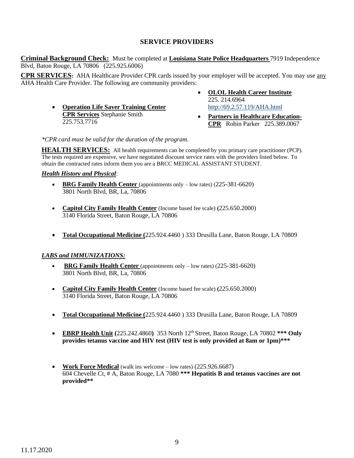### **SERVICE PROVIDERS**

**Criminal Background Check:** Must be completed at **Louisiana State Police Headquarters** 7919 Independence Blvd, Baton Rouge, LA 70806 (225.925.6006)

**CPR SERVICES:** AHA Healthcare Provider CPR cards issued by your employer will be accepted. You may use any AHA Health Care Provider. The following are community providers:

- **Operation Life Saver Training Center CPR Services** Stephanie Smith 225.753.7716
- **OLOL Health Career Institute** 225. 214.6964 <http://69.2.57.119/AHA.html>
- **Partners in Healthcare Education-CPR** Robin Parker 225.389.0067

*\*CPR card must be valid for the duration of the program.* 

**HEALTH SERVICES:** All health requirements can be completed by you primary care practitioner (PCP). The tests required are expensive, we have negotiated discount service rates with the providers listed below. To obtain the contracted rates inform them you are a BRCC MEDICAL ASSISTANT STUDENT.

### *Health History and Physical*:

- **BRG Family Health Center** (appointments only low rates) (225-381-6620) 3801 North Blvd, BR, La, 70806
- **Capitol City Family Health Center** (Income based fee scale) **(**225.650.2000) 3140 Florida Street, Baton Rouge, LA 70806
- **Total Occupational Medicine (**225.924.4460 ) 333 Drusilla Lane, Baton Rouge, LA 70809

### *LABS and IMMUNIZATIONS:*

- **BRG Family Health Center** (appointments only low rates) (225-381-6620) 3801 North Blvd, BR, La, 70806
- **Capitol City Family Health Center** (Income based fee scale) **(**225.650.2000) 3140 Florida Street, Baton Rouge, LA 70806
- **Total Occupational Medicine (**225.924.4460 ) 333 Drusilla Lane, Baton Rouge, LA 70809
- **EBRP Health Unit (**225.242.4860**)** 353 North 12th Street, Baton Rouge, LA 70802 **\*\*\* Only provides tetanus vaccine and HIV test (HIV test is only provided at 8am or 1pm)\*\*\***
- **Work Force Medical** (walk ins welcome low rates) (225.926.6687) 604 Chevelle Ct, # A, Baton Rouge, LA 7080 **\*\*\* Hepatitis B and tetanus vaccines are not provided\*\***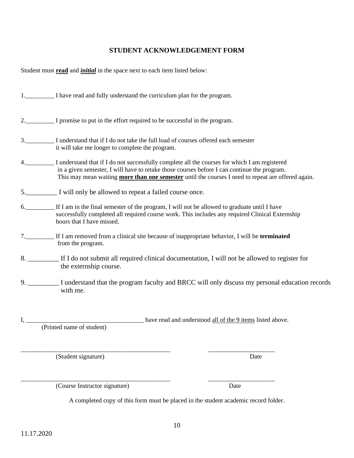11.17.2020

A completed copy of this form must be placed in the student academic record folder.

\_\_\_\_\_\_\_\_\_\_\_\_\_\_\_\_\_\_\_\_\_\_\_\_\_\_\_\_\_\_\_\_\_\_\_\_\_\_\_\_\_\_\_\_\_\_\_ \_\_\_\_\_\_\_\_\_\_\_\_\_\_\_\_\_\_\_\_\_

### **STUDENT ACKNOWLEDGEMENT FORM**

Student must **read** and *initial* in the space next to each item listed below:

|    | 1. I have read and fully understand the curriculum plan for the program.                                                                                                                                                                                                                                  |
|----|-----------------------------------------------------------------------------------------------------------------------------------------------------------------------------------------------------------------------------------------------------------------------------------------------------------|
|    | 2. I promise to put in the effort required to be successful in the program.                                                                                                                                                                                                                               |
|    | 3. I understand that if I do not take the full load of courses offered each semester<br>it will take me longer to complete the program.                                                                                                                                                                   |
|    | I understand that if I do not successfully complete all the courses for which I am registered<br>in a given semester, I will have to retake those courses before I can continue the program.<br>This may mean waiting <b>more than one semester</b> until the courses I need to repeat are offered again. |
|    | 5. I will only be allowed to repeat a failed course once.                                                                                                                                                                                                                                                 |
|    | 6. If I am in the final semester of the program, I will not be allowed to graduate until I have<br>successfully completed all required course work. This includes any required Clinical Externship<br>hours that I have missed.                                                                           |
|    | 7. If I am removed from a clinical site because of inappropriate behavior, I will be terminated<br>from the program.                                                                                                                                                                                      |
|    | 8. ___________ If I do not submit all required clinical documentation, I will not be allowed to register for<br>the externship course.                                                                                                                                                                    |
|    | 9. I understand that the program faculty and BRCC will only discuss my personal education records<br>with me.                                                                                                                                                                                             |
| Ι, | have read and understood all of the 9 items listed above.                                                                                                                                                                                                                                                 |

(Printed name of student)

(Student signature) Date

(Course Instructor signature) Date

\_\_\_\_\_\_\_\_\_\_\_\_\_\_\_\_\_\_\_\_\_\_\_\_\_\_\_\_\_\_\_\_\_\_\_\_\_\_\_\_\_\_\_\_\_\_\_ \_\_\_\_\_\_\_\_\_\_\_\_\_\_\_\_\_\_\_\_\_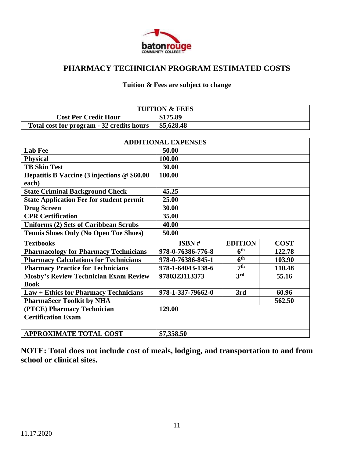

### **PHARMACY TECHNICIAN PROGRAM ESTIMATED COSTS**

### **Tuition & Fees are subject to change**

|                                           | <b>TUITION &amp; FEES</b> |
|-------------------------------------------|---------------------------|
| <b>Cost Per Credit Hour</b>               | \$175.89                  |
| Total cost for program - 32 credits hours | \$5,628.48                |

|                                                                   | <b>ADDITIONAL EXPENSES</b> |                 |             |
|-------------------------------------------------------------------|----------------------------|-----------------|-------------|
| <b>Lab Fee</b>                                                    | 50.00                      |                 |             |
| <b>Physical</b>                                                   | 100.00                     |                 |             |
| <b>TB Skin Test</b>                                               | 30.00                      |                 |             |
| Hepatitis B Vaccine $(3 \text{ injections} \ @ \ $60.00$<br>each) | 180.00                     |                 |             |
| <b>State Criminal Background Check</b>                            | 45.25                      |                 |             |
| <b>State Application Fee for student permit</b>                   | 25.00                      |                 |             |
| <b>Drug Screen</b>                                                | 30.00                      |                 |             |
| <b>CPR Certification</b>                                          | 35.00                      |                 |             |
| <b>Uniforms (2) Sets of Caribbean Scrubs</b>                      | 40.00                      |                 |             |
| <b>Tennis Shoes Only (No Open Toe Shoes)</b>                      | 50.00                      |                 |             |
|                                                                   |                            |                 |             |
| <b>Textbooks</b>                                                  | ISBN #                     | <b>EDITION</b>  | <b>COST</b> |
| <b>Pharmacology for Pharmacy Technicians</b>                      | 978-0-76386-776-8          | 6 <sup>th</sup> | 122.78      |
| <b>Pharmacy Calculations for Technicians</b>                      | 978-0-76386-845-1          | 6 <sup>th</sup> | 103.90      |
| <b>Pharmacy Practice for Technicians</b>                          | 978-1-64043-138-6          | 7 <sup>th</sup> | 110.48      |
| <b>Mosby's Review Technician Exam Review</b>                      | 9780323113373              | 3rd             | 55.16       |
| <b>Book</b>                                                       |                            |                 |             |
| <b>Law + Ethics for Pharmacy Technicians</b>                      | 978-1-337-79662-0          | 3rd             | 60.96       |
| <b>PharmaSeer Toolkit by NHA</b>                                  |                            |                 | 562.50      |
| (PTCE) Pharmacy Technician                                        | 129.00                     |                 |             |
| <b>Certification Exam</b>                                         |                            |                 |             |
|                                                                   |                            |                 |             |

**NOTE: Total does not include cost of meals, lodging, and transportation to and from school or clinical sites.**